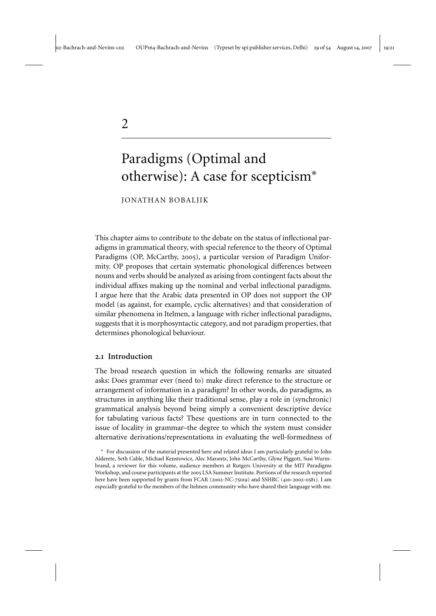# 2

# Paradigms (Optimal and otherwise): A case for scepticism<sup>∗</sup>

# JONATHAN BOBALJIK

This chapter aims to contribute to the debate on the status of inflectional paradigms in grammatical theory, with special reference to the theory of Optimal Paradigms (OP, McCarthy, 2005), a particular version of Paradigm Uniformity. OP proposes that certain systematic phonological differences between nouns and verbs should be analyzed as arising from contingent facts about the individual affixes making up the nominal and verbal inflectional paradigms. I argue here that the Arabic data presented in OP does not support the OP model (as against, for example, cyclic alternatives) and that consideration of similar phenomena in Itelmen, a language with richer inflectional paradigms, suggests that it is morphosyntactic category, and not paradigm properties, that determines phonological behaviour.

#### **2.1 Introduction**

The broad research question in which the following remarks are situated asks: Does grammar ever (need to) make direct reference to the structure or arrangement of information in a paradigm? In other words, do paradigms, as structures in anything like their traditional sense, play a role in (synchronic) grammatical analysis beyond being simply a convenient descriptive device for tabulating various facts? These questions are in turn connected to the issue of locality in grammar–the degree to which the system must consider alternative derivations/representations in evaluating the well-formedness of

<sup>∗</sup> For discussion of the material presented here and related ideas I am particularly grateful to John Alderete, Seth Cable, Michael Kenstowicz, Alec Marantz, John McCarthy, Glyne Piggott, Susi Wurmbrand, a reviewer for this volume, audience members at Rutgers University at the MIT Paradigms Workshop, and course participants at the 2005 LSA Summer Institute. Portions of the research reported here have been supported by grants from FCAR (2002-NC-75019) and SSHRC (410-2002-0581). I am especially grateful to the members of the Itelmen community who have shared their language with me.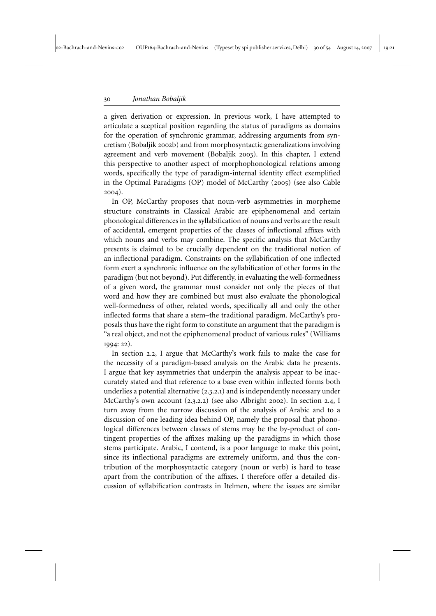a given derivation or expression. In previous work, I have attempted to articulate a sceptical position regarding the status of paradigms as domains for the operation of synchronic grammar, addressing arguments from syncretism (Bobaljik 2002b) and from morphosyntactic generalizations involving agreement and verb movement (Bobaljik 2003). In this chapter, I extend this perspective to another aspect of morphophonological relations among words, specifically the type of paradigm-internal identity effect exemplified in the Optimal Paradigms (OP) model of McCarthy (2005) (see also Cable 2004).

In OP, McCarthy proposes that noun-verb asymmetries in morpheme structure constraints in Classical Arabic are epiphenomenal and certain phonological differences in the syllabification of nouns and verbs are the result of accidental, emergent properties of the classes of inflectional affixes with which nouns and verbs may combine. The specific analysis that McCarthy presents is claimed to be crucially dependent on the traditional notion of an inflectional paradigm. Constraints on the syllabification of one inflected form exert a synchronic influence on the syllabification of other forms in the paradigm (but not beyond). Put differently, in evaluating the well-formedness of a given word, the grammar must consider not only the pieces of that word and how they are combined but must also evaluate the phonological well-formedness of other, related words, specifically all and only the other inflected forms that share a stem–the traditional paradigm. McCarthy's proposals thus have the right form to constitute an argument that the paradigm is "a real object, and not the epiphenomenal product of various rules" (Williams 1994: 22).

In section 2.2, I argue that McCarthy's work fails to make the case for the necessity of a paradigm-based analysis on the Arabic data he presents. I argue that key asymmetries that underpin the analysis appear to be inaccurately stated and that reference to a base even within inflected forms both underlies a potential alternative (2.3.2.1) and is independently necessary under McCarthy's own account (2.3.2.2) (see also Albright 2002). In section 2.4, I turn away from the narrow discussion of the analysis of Arabic and to a discussion of one leading idea behind OP, namely the proposal that phonological differences between classes of stems may be the by-product of contingent properties of the affixes making up the paradigms in which those stems participate. Arabic, I contend, is a poor language to make this point, since its inflectional paradigms are extremely uniform, and thus the contribution of the morphosyntactic category (noun or verb) is hard to tease apart from the contribution of the affixes. I therefore offer a detailed discussion of syllabification contrasts in Itelmen, where the issues are similar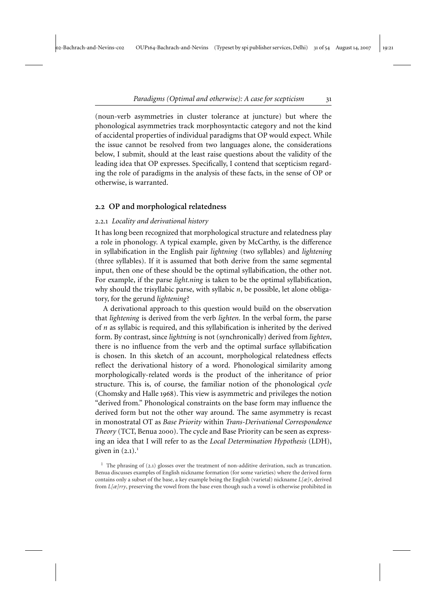*Paradigms (Optimal and otherwise): A case for scepticism* 31

(noun-verb asymmetries in cluster tolerance at juncture) but where the phonological asymmetries track morphosyntactic category and not the kind of accidental properties of individual paradigms that OP would expect. While the issue cannot be resolved from two languages alone, the considerations below, I submit, should at the least raise questions about the validity of the leading idea that OP expresses. Specifically, I contend that scepticism regarding the role of paradigms in the analysis of these facts, in the sense of OP or otherwise, is warranted.

# **2.2 OP and morphological relatedness**

#### 2.2.1 *Locality and derivational history*

It has long been recognized that morphological structure and relatedness play a role in phonology. A typical example, given by McCarthy, is the difference in syllabification in the English pair *lightning* (two syllables) and *lightening* (three syllables). If it is assumed that both derive from the same segmental input, then one of these should be the optimal syllabification, the other not. For example, if the parse *light.ning* is taken to be the optimal syllabification, why should the trisyllabic parse, with syllabic *n*, be possible, let alone obligatory, for the gerund *lightening*?

A derivational approach to this question would build on the observation that *lightening* is derived from the verb *lighten*. In the verbal form, the parse of *n* as syllabic is required, and this syllabification is inherited by the derived form. By contrast, since *lightning* is not (synchronically) derived from *lighten*, there is no influence from the verb and the optimal surface syllabification is chosen. In this sketch of an account, morphological relatedness effects reflect the derivational history of a word. Phonological similarity among morphologically-related words is the product of the inheritance of prior structure. This is, of course, the familiar notion of the phonological *cycle* (Chomsky and Halle 1968). This view is asymmetric and privileges the notion "derived from." Phonological constraints on the base form may influence the derived form but not the other way around. The same asymmetry is recast in monostratal OT as *Base Priority* within *Trans-Derivational Correspondence Theory* (TCT, Benua 2000). The cycle and Base Priority can be seen as expressing an idea that I will refer to as the *Local Determination Hypothesis* (LDH), given in  $(2.1).$ <sup>1</sup>

<sup>&</sup>lt;sup>1</sup> The phrasing of (2.1) glosses over the treatment of non-additive derivation, such as truncation. Benua discusses examples of English nickname formation (for some varieties) where the derived form contains only a subset of the base, a key example being the English (varietal) nickname *L[æ]r*, derived from *L[æ]rry*, preserving the vowel from the base even though such a vowel is otherwise prohibited in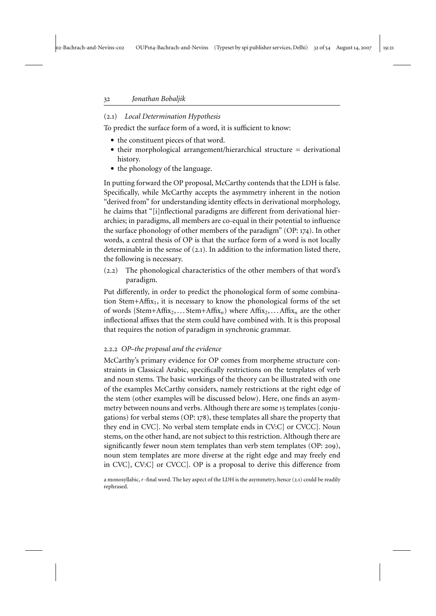# (2.1) *Local Determination Hypothesis*

To predict the surface form of a word, it is sufficient to know:

- the constituent pieces of that word.
- $\bullet$  their morphological arrangement/hierarchical structure = derivational history.
- the phonology of the language.

In putting forward the OP proposal, McCarthy contends that the LDH is false. Specifically, while McCarthy accepts the asymmetry inherent in the notion "derived from" for understanding identity effects in derivational morphology, he claims that "[i]nflectional paradigms are different from derivational hierarchies; in paradigms, all members are co-equal in their potential to influence the surface phonology of other members of the paradigm" (OP: 174). In other words, a central thesis of OP is that the surface form of a word is not locally determinable in the sense of (2.1). In addition to the information listed there, the following is necessary.

(2.2) The phonological characteristics of the other members of that word's paradigm.

Put differently, in order to predict the phonological form of some combination Stem+Affix<sub>1</sub>, it is necessary to know the phonological forms of the set of words {Stem+Affix<sub>2</sub>,...Stem+Affix<sub>n</sub>) where Affix<sub>2</sub>,...Affix<sub>n</sub> are the other inflectional affixes that the stem could have combined with. It is this proposal that requires the notion of paradigm in synchronic grammar.

#### 2.2.2 *OP–the proposal and the evidence*

McCarthy's primary evidence for OP comes from morpheme structure constraints in Classical Arabic, specifically restrictions on the templates of verb and noun stems. The basic workings of the theory can be illustrated with one of the examples McCarthy considers, namely restrictions at the right edge of the stem (other examples will be discussed below). Here, one finds an asymmetry between nouns and verbs. Although there are some 15 templates (conjugations) for verbal stems (OP: 178), these templates all share the property that they end in CVC]. No verbal stem template ends in CV:C] or CVCC]. Noun stems, on the other hand, are not subject to this restriction. Although there are significantly fewer noun stem templates than verb stem templates (OP: 209), noun stem templates are more diverse at the right edge and may freely end in CVC], CV:C] or CVCC]. OP is a proposal to derive this difference from

a monosyllabic, *r*-final word. The key aspect of the LDH is the asymmetry, hence (2.1) could be readily rephrased.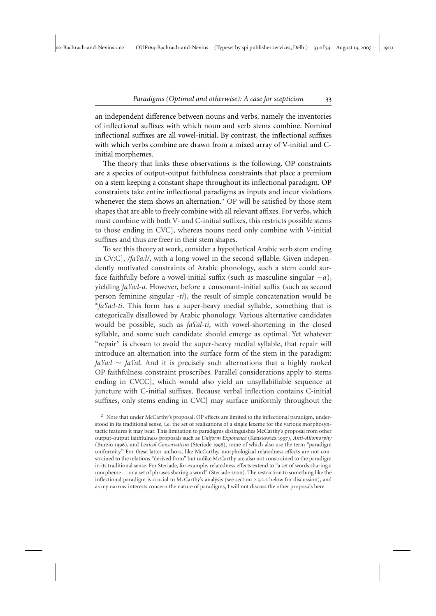an independent difference between nouns and verbs, namely the inventories of inflectional suffixes with which noun and verb stems combine. Nominal inflectional suffixes are all vowel-initial. By contrast, the inflectional suffixes with which verbs combine are drawn from a mixed array of V-initial and Cinitial morphemes.

The theory that links these observations is the following. OP constraints are a species of output-output faithfulness constraints that place a premium on a stem keeping a constant shape throughout its inflectional paradigm. OP constraints take entire inflectional paradigms as inputs and incur violations whenever the stem shows an alternation.<sup>2</sup> OP will be satisfied by those stem shapes that are able to freely combine with all relevant affixes. For verbs, which must combine with both V- and C-initial suffixes, this restricts possible stems to those ending in CVC], whereas nouns need only combine with V-initial suffixes and thus are freer in their stem shapes.

To see this theory at work, consider a hypothetical Arabic verb stem ending in CV:C], /fa fa:l/, with a long vowel in the second syllable. Given independently motivated constraints of Arabic phonology, such a stem could surface faithfully before a vowel-initial suffix (such as masculine singular −*a*), yielding *fa*Q*a:l-a*. However, before a consonant-initial suffix (such as second person feminine singular *-ti*), the result of simple concatenation would be *\*fa* fa:l-ti. This form has a super-heavy medial syllable, something that is categorically disallowed by Arabic phonology. Various alternative candidates would be possible, such as *faSal-ti*, with vowel-shortening in the closed syllable, and some such candidate should emerge as optimal. Yet whatever "repair" is chosen to avoid the super-heavy medial syllable, that repair will introduce an alternation into the surface form of the stem in the paradigm: *fa*Sa:l ∼ *faSal*. And it is precisely such alternations that a highly ranked OP faithfulness constraint proscribes. Parallel considerations apply to stems ending in CVCC], which would also yield an unsyllabifiable sequence at juncture with C-initial suffixes. Because verbal inflection contains C-initial suffixes, only stems ending in CVC] may surface uniformly throughout the

<sup>2</sup> Note that under McCarthy's proposal, OP effects are limited to the inflectional paradigm, understood in its traditional sense, i.e. the set of realizations of a single lexeme for the various morphosyntactic features it may bear. This limitation to paradigms distinguishes McCarthy's proposal from other output-output faithfulness proposals such as *Uniform Exponence* (Kenstowicz 1997), *Anti-Allomorphy* (Burzio 1996), and *Lexical Conservatism* (Steriade 1998), some of which also use the term "paradigm uniformity." For these latter authors, like McCarthy, morphological relatedness effects are not constrained to the relations "derived from" but unlike McCarthy are also not constrained to the paradigm in its traditional sense. For Steriade, for example, relatedness effects extend to "a set of words sharing a morpheme . . . or a set of phrases sharing a word" (Steriade 2000). The restriction to something like the inflectional paradigm is crucial to McCarthy's analysis (see section 2.3.2.2 below for discussion), and as my narrow interests concern the nature of paradigms, I will not discuss the other proposals here.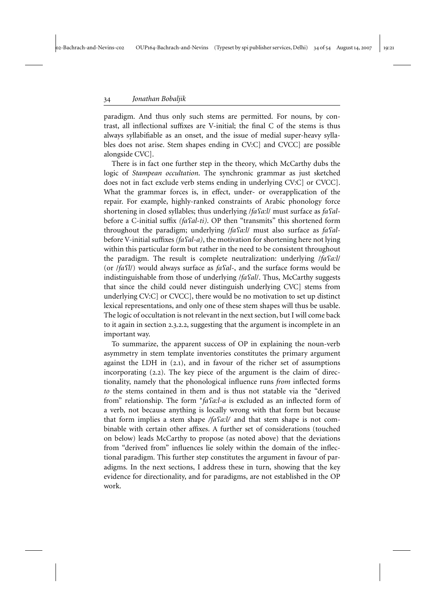paradigm. And thus only such stems are permitted. For nouns, by contrast, all inflectional suffixes are V-initial; the final C of the stems is thus always syllabifiable as an onset, and the issue of medial super-heavy syllables does not arise. Stem shapes ending in CV:C] and CVCC] are possible alongside CVC].

There is in fact one further step in the theory, which McCarthy dubs the logic of *Stampean occultation*. The synchronic grammar as just sketched does not in fact exclude verb stems ending in underlying CV:C] or CVCC]. What the grammar forces is, in effect, under- or overapplication of the repair. For example, highly-ranked constraints of Arabic phonology force shortening in closed syllables; thus underlying /*fa fa*:*l*/ must surface as *fa fal*before a C-initial suffix *(faSal-ti)*. OP then "transmits" this shortened form throughout the paradigm; underlying /*fa* fa:*l*/ must also surface as *fa* falbefore V-initial suffixes *(faSal-a)*, the motivation for shortening here not lying within this particular form but rather in the need to be consistent throughout the paradigm. The result is complete neutralization: underlying /*fa* fa:*l*/ (or /*faSl*/) would always surface as *faSal*-, and the surface forms would be indistinguishable from those of underlying /*faSal*/. Thus, McCarthy suggests that since the child could never distinguish underlying CVC] stems from underlying CV:C] or CVCC], there would be no motivation to set up distinct lexical representations, and only one of these stem shapes will thus be usable. The logic of occultation is not relevant in the next section, but I will come back to it again in section 2.3.2.2, suggesting that the argument is incomplete in an important way.

To summarize, the apparent success of OP in explaining the noun-verb asymmetry in stem template inventories constitutes the primary argument against the LDH in (2.1), and in favour of the richer set of assumptions incorporating (2.2). The key piece of the argument is the claim of directionality, namely that the phonological influence runs *from* inflected forms *to* the stems contained in them and is thus not statable via the "derived from" relationship. The form <sup>\*</sup>*fa fa:l-a* is excluded as an inflected form of a verb, not because anything is locally wrong with that form but because that form implies a stem shape /fa fa:l/ and that stem shape is not combinable with certain other affixes. A further set of considerations (touched on below) leads McCarthy to propose (as noted above) that the deviations from "derived from" influences lie solely within the domain of the inflectional paradigm. This further step constitutes the argument in favour of paradigms. In the next sections, I address these in turn, showing that the key evidence for directionality, and for paradigms, are not established in the OP work.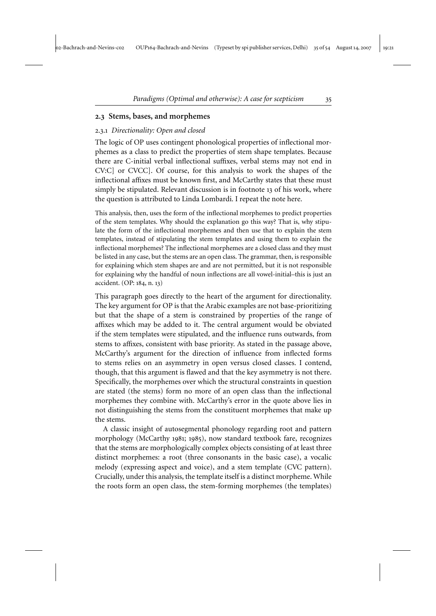### **2.3 Stems, bases, and morphemes**

# 2.3.1 *Directionality: Open and closed*

The logic of OP uses contingent phonological properties of inflectional morphemes as a class to predict the properties of stem shape templates. Because there are C-initial verbal inflectional suffixes, verbal stems may not end in CV:C] or CVCC]. Of course, for this analysis to work the shapes of the inflectional affixes must be known first, and McCarthy states that these must simply be stipulated. Relevant discussion is in footnote 13 of his work, where the question is attributed to Linda Lombardi. I repeat the note here.

This analysis, then, uses the form of the inflectional morphemes to predict properties of the stem templates. Why should the explanation go this way? That is, why stipulate the form of the inflectional morphemes and then use that to explain the stem templates, instead of stipulating the stem templates and using them to explain the inflectional morphemes? The inflectional morphemes are a closed class and they must be listed in any case, but the stems are an open class. The grammar, then, is responsible for explaining which stem shapes are and are not permitted, but it is not responsible for explaining why the handful of noun inflections are all vowel-initial–this is just an accident. (OP: 184, n. 13)

This paragraph goes directly to the heart of the argument for directionality. The key argument for OP is that the Arabic examples are not base-prioritizing but that the shape of a stem is constrained by properties of the range of affixes which may be added to it. The central argument would be obviated if the stem templates were stipulated, and the influence runs outwards, from stems to affixes, consistent with base priority. As stated in the passage above, McCarthy's argument for the direction of influence from inflected forms to stems relies on an asymmetry in open versus closed classes. I contend, though, that this argument is flawed and that the key asymmetry is not there. Specifically, the morphemes over which the structural constraints in question are stated (the stems) form no more of an open class than the inflectional morphemes they combine with. McCarthy's error in the quote above lies in not distinguishing the stems from the constituent morphemes that make up the stems.

A classic insight of autosegmental phonology regarding root and pattern morphology (McCarthy 1981; 1985), now standard textbook fare, recognizes that the stems are morphologically complex objects consisting of at least three distinct morphemes: a root (three consonants in the basic case), a vocalic melody (expressing aspect and voice), and a stem template (CVC pattern). Crucially, under this analysis, the template itself is a distinct morpheme. While the roots form an open class, the stem-forming morphemes (the templates)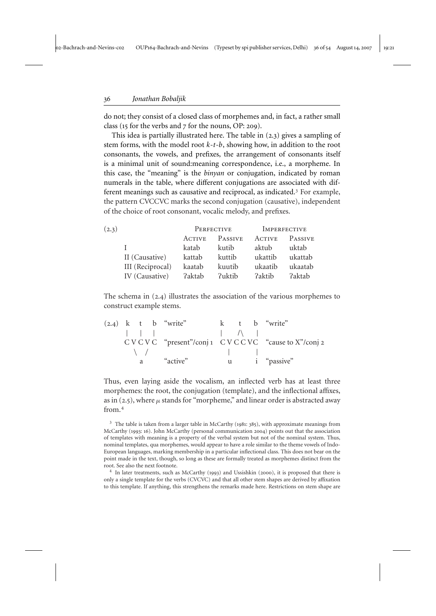do not; they consist of a closed class of morphemes and, in fact, a rather small class (15 for the verbs and 7 for the nouns, OP: 209).

This idea is partially illustrated here. The table in (2.3) gives a sampling of stem forms, with the model root *k*-*t*-*b*, showing how, in addition to the root consonants, the vowels, and prefixes, the arrangement of consonants itself is a minimal unit of sound:meaning correspondence, i.e., a morpheme. In this case, the "meaning" is the *binyan* or conjugation, indicated by roman numerals in the table, where different conjugations are associated with different meanings such as causative and reciprocal, as indicated.<sup>3</sup> For example, the pattern CVCCVC marks the second conjugation (causative), independent of the choice of root consonant, vocalic melody, and prefixes.

| (2.3) |                  |               | PERFECTIVE | <b>IMPERFECTIVE</b> |         |  |
|-------|------------------|---------------|------------|---------------------|---------|--|
|       |                  | <b>ACTIVE</b> | PASSIVE    | <b>ACTIVE</b>       | PASSIVE |  |
|       |                  | katab         | kutib      | aktub               | uktab   |  |
|       | II (Causative)   | kattab        | kuttib     | ukattib             | ukattab |  |
|       | III (Reciprocal) | kaatab        | kuutib     | ukaatib             | ukaatab |  |
|       | IV (Causative)   | ?aktab        | ?uktib     | <b>Taktib</b>       | ?aktab  |  |

The schema in (2.4) illustrates the association of the various morphemes to construct example stems.

$$
\begin{array}{ccccccccc} (2.4) & k & t & b & \text{``write''} & k & t & b & \text{``write''} \\ & | & | & | & & | & \wedge & | & & \\ & CVCVC & \text{``present''/conj1} & CVCCCVC & \text{``cause to X''/conj2} \\ & & | & | & & | & & \\ & a & \text{``active''} & u & i & \text{``passive''} \\ \end{array}
$$

Thus, even laying aside the vocalism, an inflected verb has at least three morphemes: the root, the conjugation (template), and the inflectional affixes, as in  $(2.5)$ , where  $\mu$  stands for "morpheme," and linear order is abstracted away from.<sup>4</sup>

 $3$  The table is taken from a larger table in McCarthy (1981: 385), with approximate meanings from McCarthy (1993: 16). John McCarthy (personal communication 2004) points out that the association of templates with meaning is a property of the verbal system but not of the nominal system. Thus, nominal templates, qua morphemes, would appear to have a role similar to the theme vowels of Indo-European languages, marking membership in a particular inflectional class. This does not bear on the point made in the text, though, so long as these are formally treated as morphemes distinct from the root. See also the next footnote.

In later treatments, such as McCarthy (1993) and Ussishkin (2000), it is proposed that there is only a single template for the verbs (CVCVC) and that all other stem shapes are derived by affixation to this template. If anything, this strengthens the remarks made here. Restrictions on stem shape are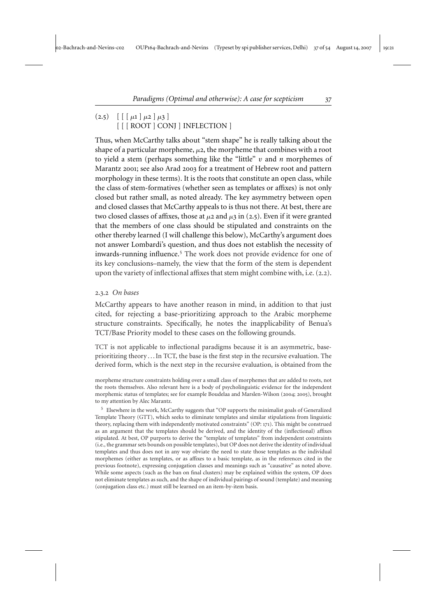# $(2.5)$   $[$   $[$   $\mu$ 1  $\mu$ 2  $]$   $\mu$ 3  $]$ [ [ [ ROOT ] CONJ ] INFLECTION ]

Thus, when McCarthy talks about "stem shape" he is really talking about the shape of a particular morpheme,  $\mu$ 2, the morpheme that combines with a root to yield a stem (perhaps something like the "little" v and *n* morphemes of Marantz 2001; see also Arad 2003 for a treatment of Hebrew root and pattern morphology in these terms). It is the roots that constitute an open class, while the class of stem-formatives (whether seen as templates or affixes) is not only closed but rather small, as noted already. The key asymmetry between open and closed classes that McCarthy appeals to is thus not there. At best, there are two closed classes of affixes, those at  $\mu$ 2 and  $\mu$ 3 in (2.5). Even if it were granted that the members of one class should be stipulated and constraints on the other thereby learned (I will challenge this below), McCarthy's argument does not answer Lombardi's question, and thus does not establish the necessity of inwards-running influence.<sup>5</sup> The work does not provide evidence for one of its key conclusions–namely, the view that the form of the stem is dependent upon the variety of inflectional affixes that stem might combine with, i.e. (2.2).

#### 2.3.2 *On bases*

McCarthy appears to have another reason in mind, in addition to that just cited, for rejecting a base-prioritizing approach to the Arabic morpheme structure constraints. Specifically, he notes the inapplicability of Benua's TCT/Base Priority model to these cases on the following grounds.

TCT is not applicable to inflectional paradigms because it is an asymmetric, baseprioritizing theory . . . In TCT, the base is the first step in the recursive evaluation. The derived form, which is the next step in the recursive evaluation, is obtained from the

morpheme structure constraints holding over a small class of morphemes that are added to roots, not the roots themselves. Also relevant here is a body of psycholinguistic evidence for the independent morphemic status of templates; see for example Boudelaa and Marslen-Wilson (2004; 2005), brought to my attention by Alec Marantz.

<sup>5</sup> Elsewhere in the work, McCarthy suggests that "OP supports the minimalist goals of Generalized Template Theory (GTT), which seeks to eliminate templates and similar stipulations from linguistic theory, replacing them with independently motivated constraints" (OP: 171). This might be construed as an argument that the templates should be derived, and the identity of the (inflectional) affixes stipulated. At best, OP purports to derive the "template of templates" from independent constraints (i.e., the grammar sets bounds on possible templates), but OP does not derive the identity of individual templates and thus does not in any way obviate the need to state those templates as the individual morphemes (either as templates, or as affixes to a basic template, as in the references cited in the previous footnote), expressing conjugation classes and meanings such as "causative" as noted above. While some aspects (such as the ban on final clusters) may be explained within the system, OP does not eliminate templates as such, and the shape of individual pairings of sound (template) and meaning (conjugation class etc.) must still be learned on an item-by-item basis.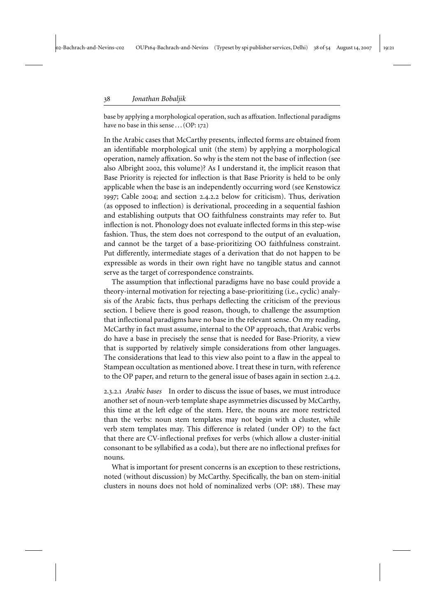base by applying a morphological operation, such as affixation. Inflectional paradigms have no base in this sense  $\ldots$  (OP: 172)

In the Arabic cases that McCarthy presents, inflected forms are obtained from an identifiable morphological unit (the stem) by applying a morphological operation, namely affixation. So why is the stem not the base of inflection (see also Albright 2002, this volume)? As I understand it, the implicit reason that Base Priority is rejected for inflection is that Base Priority is held to be only applicable when the base is an independently occurring word (see Kenstowicz 1997; Cable 2004; and section 2.4.2.2 below for criticism). Thus, derivation (as opposed to inflection) is derivational, proceeding in a sequential fashion and establishing outputs that OO faithfulness constraints may refer to. But inflection is not. Phonology does not evaluate inflected forms in this step-wise fashion. Thus, the stem does not correspond to the output of an evaluation, and cannot be the target of a base-prioritizing OO faithfulness constraint. Put differently, intermediate stages of a derivation that do not happen to be expressible as words in their own right have no tangible status and cannot serve as the target of correspondence constraints.

The assumption that inflectional paradigms have no base could provide a theory-internal motivation for rejecting a base-prioritizing (i.e., cyclic) analysis of the Arabic facts, thus perhaps deflecting the criticism of the previous section. I believe there is good reason, though, to challenge the assumption that inflectional paradigms have no base in the relevant sense. On my reading, McCarthy in fact must assume, internal to the OP approach, that Arabic verbs do have a base in precisely the sense that is needed for Base-Priority, a view that is supported by relatively simple considerations from other languages. The considerations that lead to this view also point to a flaw in the appeal to Stampean occultation as mentioned above. I treat these in turn, with reference to the OP paper, and return to the general issue of bases again in section 2.4.2.

2.3.2.1 *Arabic bases* In order to discuss the issue of bases, we must introduce another set of noun-verb template shape asymmetries discussed by McCarthy, this time at the left edge of the stem. Here, the nouns are more restricted than the verbs: noun stem templates may not begin with a cluster, while verb stem templates may. This difference is related (under OP) to the fact that there are CV-inflectional prefixes for verbs (which allow a cluster-initial consonant to be syllabified as a coda), but there are no inflectional prefixes for nouns.

What is important for present concerns is an exception to these restrictions, noted (without discussion) by McCarthy. Specifically, the ban on stem-initial clusters in nouns does not hold of nominalized verbs (OP: 188). These may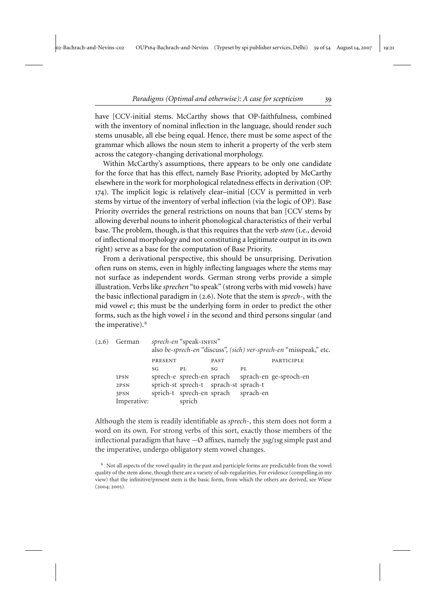#### *Paradigms (Optimal and otherwise): A case for scepticism* 39

have [CCV-initial stems. McCarthy shows that OP-faithfulness, combined with the inventory of nominal inflection in the language, should render such stems unusable, all else being equal. Hence, there must be some aspect of the grammar which allows the noun stem to inherit a property of the verb stem across the category-changing derivational morphology.

Within McCarthy's assumptions, there appears to be only one candidate for the force that has this effect, namely Base Priority, adopted by McCarthy elsewhere in the work for morphological relatedness effects in derivation (OP: 174). The implicit logic is relatively clear–initial [CCV is permitted in verb stems by virtue of the inventory of verbal inflection (via the logic of OP). Base Priority overrides the general restrictions on nouns that ban [CCV stems by allowing deverbal nouns to inherit phonological characteristics of their verbal base. The problem, though, is that this requires that the verb *stem* (i.e., devoid of inflectional morphology and not constituting a legitimate output in its own right) serve as a base for the computation of Base Priority.

From a derivational perspective, this should be unsurprising. Derivation often runs on stems, even in highly inflecting languages where the stems may not surface as independent words. German strong verbs provide a simple illustration. Verbs like *sprechen* "to speak" (strong verbs with mid vowels) have the basic inflectional paradigm in (2.6). Note that the stem is *sprech-*, with the mid vowel *e*; this must be the underlying form in order to predict the other forms, such as the high vowel *i* in the second and third persons singular (and the imperative).<sup>6</sup>

| (2.6) | German      | sprech-en "speak-INFIN"<br>also be-sprech-en "discuss", (sich) ver-sprech-en "misspeak," etc. |                                       |      |                                     |                                                  |
|-------|-------------|-----------------------------------------------------------------------------------------------|---------------------------------------|------|-------------------------------------|--------------------------------------------------|
|       |             | <b>PRESENT</b>                                                                                |                                       | PAST |                                     | <b>PARTICIPLE</b>                                |
|       |             | SG                                                                                            | PL.                                   | SG   | PL.                                 |                                                  |
|       | 1PSN        |                                                                                               |                                       |      |                                     | sprech-e sprech-en sprach sprach-en ge-sproch-en |
|       | 2PSN        |                                                                                               | sprich-st sprech-t sprach-st sprach-t |      |                                     |                                                  |
|       | 3PSN        |                                                                                               |                                       |      | sprich-t sprech-en sprach sprach-en |                                                  |
|       | Imperative: |                                                                                               | sprich                                |      |                                     |                                                  |
|       |             |                                                                                               |                                       |      |                                     |                                                  |

Although the stem is readily identifiable as *sprech-*, this stem does not form a word on its own. For strong verbs of this sort, exactly those members of the inflectional paradigm that have −Ø affixes, namely the 3sg/1sg simple past and the imperative, undergo obligatory stem vowel changes.

<sup>6</sup> Not all aspects of the vowel quality in the past and participle forms are predictable from the vowel quality of the stem alone, though there are a variety of sub-regularities. For evidence (compelling in my view) that the infinitive/present stem is the basic form, from which the others are derived, see Wiese  $(2004: 2005)$ .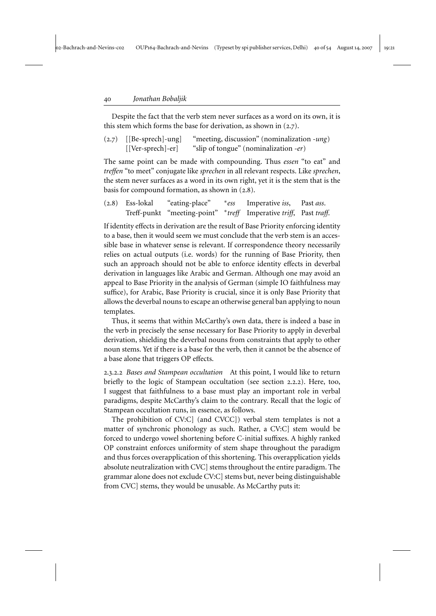Despite the fact that the verb stem never surfaces as a word on its own, it is this stem which forms the base for derivation, as shown in (2.7).

(2.7) [[Be-sprech]-ung] [[Ver-sprech]-er] "meeting, discussion" (nominalization *-ung*) "slip of tongue" (nominalization *-er*)

The same point can be made with compounding. Thus *essen* "to eat" and *treffen* "to meet" conjugate like *sprechen* in all relevant respects. Like *sprechen*, the stem never surfaces as a word in its own right, yet it is the stem that is the basis for compound formation, as shown in (2.8).

| (2.8) Ess-lokal | eating-place"                                                    | *ess Imperative iss, Past ass. |  |
|-----------------|------------------------------------------------------------------|--------------------------------|--|
|                 | Treff-punkt "meeting-point" *treff Imperative triff, Past traff. |                                |  |

If identity effects in derivation are the result of Base Priority enforcing identity to a base, then it would seem we must conclude that the verb stem is an accessible base in whatever sense is relevant. If correspondence theory necessarily relies on actual outputs (i.e. words) for the running of Base Priority, then such an approach should not be able to enforce identity effects in deverbal derivation in languages like Arabic and German. Although one may avoid an appeal to Base Priority in the analysis of German (simple IO faithfulness may suffice), for Arabic, Base Priority is crucial, since it is only Base Priority that allows the deverbal nouns to escape an otherwise general ban applying to noun templates.

Thus, it seems that within McCarthy's own data, there is indeed a base in the verb in precisely the sense necessary for Base Priority to apply in deverbal derivation, shielding the deverbal nouns from constraints that apply to other noun stems. Yet if there is a base for the verb, then it cannot be the absence of a base alone that triggers OP effects.

2.3.2.2 *Bases and Stampean occultation* At this point, I would like to return briefly to the logic of Stampean occultation (see section 2.2.2). Here, too, I suggest that faithfulness to a base must play an important role in verbal paradigms, despite McCarthy's claim to the contrary. Recall that the logic of Stampean occultation runs, in essence, as follows.

The prohibition of CV:C] (and CVCC]) verbal stem templates is not a matter of synchronic phonology as such. Rather, a CV:C] stem would be forced to undergo vowel shortening before C-initial suffixes. A highly ranked OP constraint enforces uniformity of stem shape throughout the paradigm and thus forces overapplication of this shortening. This overapplication yields absolute neutralization with CVC] stems throughout the entire paradigm. The grammar alone does not exclude CV:C] stems but, never being distinguishable from CVC] stems, they would be unusable. As McCarthy puts it: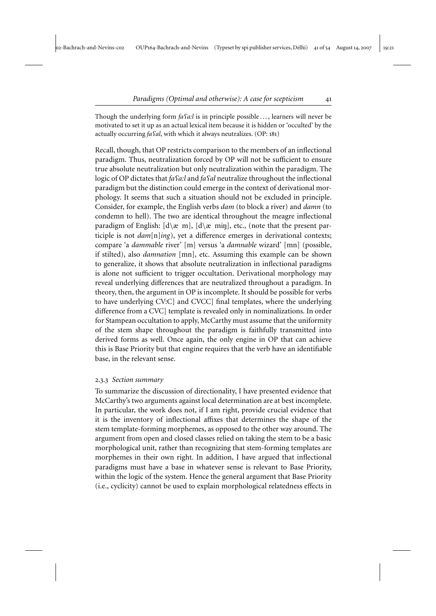#### *Paradigms (Optimal and otherwise): A case for scepticism* 41

Though the underlying form *faSa:l* is in principle possible ..., learners will never be motivated to set it up as an actual lexical item because it is hidden or 'occulted' by the actually occurring *faSal*, with which it always neutralizes. (OP: 181)

Recall, though, that OP restricts comparison to the members of an inflectional paradigm. Thus, neutralization forced by OP will not be sufficient to ensure true absolute neutralization but only neutralization within the paradigm. The logic of OP dictates that *fa fa*:*l* and *fa fal* neutralize throughout the inflectional paradigm but the distinction could emerge in the context of derivational morphology. It seems that such a situation should not be excluded in principle. Consider, for example, the English verbs *dam* (to block a river) and *damn* (to condemn to hell). The two are identical throughout the meagre inflectional paradigm of English:  $[d\xe \mtext{m}]$ ,  $[d\xe \mtext{m}]$ , etc., (note that the present participle is not *dam*[n]*ing*), yet a difference emerges in derivational contexts; compare 'a *dammable* river' [m] versus 'a *damnable* wizard' [mn] (possible, if stilted), also *damnation* [mn], etc. Assuming this example can be shown to generalize, it shows that absolute neutralization in inflectional paradigms is alone not sufficient to trigger occultation. Derivational morphology may reveal underlying differences that are neutralized throughout a paradigm. In theory, then, the argument in OP is incomplete. It should be possible for verbs to have underlying CV:C] and CVCC] final templates, where the underlying difference from a CVC] template is revealed only in nominalizations. In order for Stampean occultation to apply, McCarthy must assume that the uniformity of the stem shape throughout the paradigm is faithfully transmitted into derived forms as well. Once again, the only engine in OP that can achieve this is Base Priority but that engine requires that the verb have an identifiable base, in the relevant sense.

#### 2.3.3 *Section summary*

To summarize the discussion of directionality, I have presented evidence that McCarthy's two arguments against local determination are at best incomplete. In particular, the work does not, if I am right, provide crucial evidence that it is the inventory of inflectional affixes that determines the shape of the stem template-forming morphemes, as opposed to the other way around. The argument from open and closed classes relied on taking the stem to be a basic morphological unit, rather than recognizing that stem-forming templates are morphemes in their own right. In addition, I have argued that inflectional paradigms must have a base in whatever sense is relevant to Base Priority, within the logic of the system. Hence the general argument that Base Priority (i.e., cyclicity) cannot be used to explain morphological relatedness effects in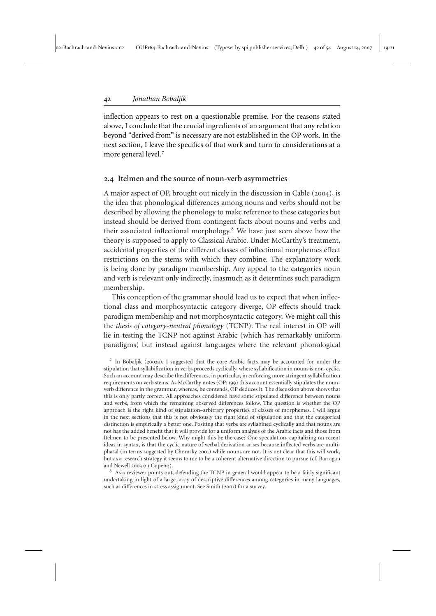inflection appears to rest on a questionable premise. For the reasons stated above, I conclude that the crucial ingredients of an argument that any relation beyond "derived from" is necessary are not established in the OP work. In the next section, I leave the specifics of that work and turn to considerations at a more general level.<sup>7</sup>

# **2.4 Itelmen and the source of noun-verb asymmetries**

A major aspect of OP, brought out nicely in the discussion in Cable (2004), is the idea that phonological differences among nouns and verbs should not be described by allowing the phonology to make reference to these categories but instead should be derived from contingent facts about nouns and verbs and their associated inflectional morphology.<sup>8</sup> We have just seen above how the theory is supposed to apply to Classical Arabic. Under McCarthy's treatment, accidental properties of the different classes of inflectional morphemes effect restrictions on the stems with which they combine. The explanatory work is being done by paradigm membership. Any appeal to the categories noun and verb is relevant only indirectly, inasmuch as it determines such paradigm membership.

This conception of the grammar should lead us to expect that when inflectional class and morphosyntactic category diverge, OP effects should track paradigm membership and not morphosyntactic category. We might call this the *thesis of category-neutral phonology* (TCNP). The real interest in OP will lie in testing the TCNP not against Arabic (which has remarkably uniform paradigms) but instead against languages where the relevant phonological

<sup>8</sup> As a reviewer points out, defending the TCNP in general would appear to be a fairly significant undertaking in light of a large array of descriptive differences among categories in many languages, such as differences in stress assignment. See Smith (2001) for a survey.

 $7$  In Bobaljik (2002a), I suggested that the core Arabic facts may be accounted for under the stipulation that syllabification in verbs proceeds cyclically, where syllabification in nouns is non-cyclic. Such an account may describe the differences, in particular, in enforcing more stringent syllabification requirements on verb stems. As McCarthy notes (OP: 199) this account essentially stipulates the nounverb difference in the grammar, whereas, he contends, OP deduces it. The discussion above shows that this is only partly correct. All approaches considered have some stipulated difference between nouns and verbs, from which the remaining observed differences follow. The question is whether the OP approach is the right kind of stipulation–arbitrary properties of classes of morphemes. I will argue in the next sections that this is not obviously the right kind of stipulation and that the categorical distinction is empirically a better one. Positing that verbs are syllabified cyclically and that nouns are not has the added benefit that it will provide for a uniform analysis of the Arabic facts and those from Itelmen to be presented below. Why might this be the case? One speculation, capitalizing on recent ideas in syntax, is that the cyclic nature of verbal derivation arises because inflected verbs are multiphasal (in terms suggested by Chomsky 2001) while nouns are not. It is not clear that this will work, but as a research strategy it seems to me to be a coherent alternative direction to pursue (cf. Barragan and Newell 2003 on Cupeño).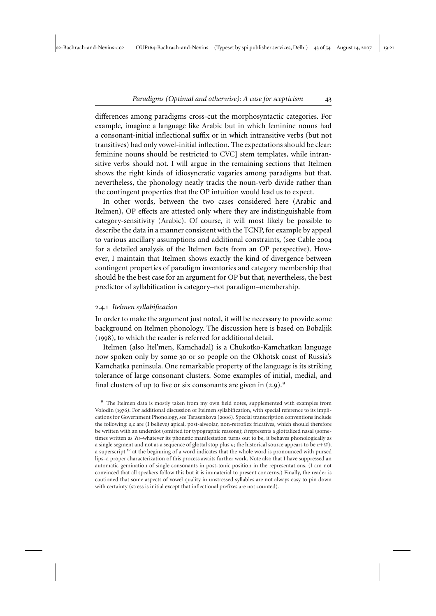differences among paradigms cross-cut the morphosyntactic categories. For example, imagine a language like Arabic but in which feminine nouns had a consonant-initial inflectional suffix or in which intransitive verbs (but not transitives) had only vowel-initial inflection. The expectations should be clear: feminine nouns should be restricted to CVC] stem templates, while intransitive verbs should not. I will argue in the remaining sections that Itelmen shows the right kinds of idiosyncratic vagaries among paradigms but that, nevertheless, the phonology neatly tracks the noun-verb divide rather than the contingent properties that the OP intuition would lead us to expect.

In other words, between the two cases considered here (Arabic and Itelmen), OP effects are attested only where they are indistinguishable from category-sensitivity (Arabic). Of course, it will most likely be possible to describe the data in a manner consistent with the TCNP, for example by appeal to various ancillary assumptions and additional constraints, (see Cable 2004 for a detailed analysis of the Itelmen facts from an OP perspective). However, I maintain that Itelmen shows exactly the kind of divergence between contingent properties of paradigm inventories and category membership that should be the best case for an argument for OP but that, nevertheless, the best predictor of syllabification is category–not paradigm–membership.

#### 2.4.1 *Itelmen syllabification*

In order to make the argument just noted, it will be necessary to provide some background on Itelmen phonology. The discussion here is based on Bobaljik (1998), to which the reader is referred for additional detail.

Itelmen (also Itel'men, Kamchadal) is a Chukotko-Kamchatkan language now spoken only by some 30 or so people on the Okhotsk coast of Russia's Kamchatka peninsula. One remarkable property of the language is its striking tolerance of large consonant clusters. Some examples of initial, medial, and final clusters of up to five or six consonants are given in  $(2.9)$ .

<sup>&</sup>lt;sup>9</sup> The Itelmen data is mostly taken from my own field notes, supplemented with examples from Volodin (1976). For additional discussion of Itelmen syllabification, with special reference to its implications for Government Phonology, see Tarasenkova (2006). Special transcription conventions include the following: s,z are (I believe) apical, post-alveolar, non-retroflex fricatives, which should therefore be written with an underdot (omitted for typographic reasons); *n'* represents a glottalized nasal (sometimes written as  $\hat{\imath}$ -whatever its phonetic manifestation turns out to be, it behaves phonologically as a single segment and not as a sequence of glottal stop plus *n*; the historical source appears to be *n+t#*); a superscript *<sup>w</sup>* at the beginning of a word indicates that the whole word is pronounced with pursed lips–a proper characterization of this process awaits further work. Note also that I have suppressed an automatic gemination of single consonants in post-tonic position in the representations. (I am not convinced that all speakers follow this but it is immaterial to present concerns.) Finally, the reader is cautioned that some aspects of vowel quality in unstressed syllables are not always easy to pin down with certainty (stress is initial except that inflectional prefixes are not counted).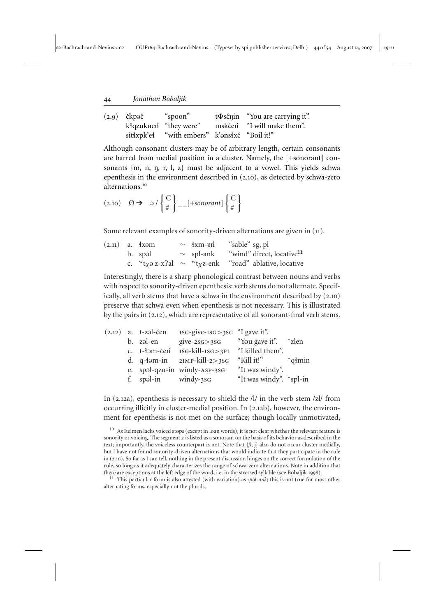| $(2.9)$ čkpəč "spoon" |                                              | t $\Phi$ sčnin "You are carrying it".            |
|-----------------------|----------------------------------------------|--------------------------------------------------|
|                       |                                              | kłqzuknen "they were" mskčen "I will make them". |
|                       | sittxpk'et "with embers" k'anstxč "Boil it!" |                                                  |

Although consonant clusters may be of arbitrary length, certain consonants are barred from medial position in a cluster. Namely, the [+sonorant] consonants  $\{m, n, n, r, l, z\}$  must be adjacent to a vowel. This yields schwa epenthesis in the environment described in (2.10), as detected by schwa-zero alternations.<sup>10</sup>

$$
(2.10) \quad \textcircled{9} \rightarrow \quad \textcircled{3}/\left\{\begin{matrix} C \\ \# \end{matrix}\right\} = -[+sonorant] \left\{\begin{matrix} C \\ \# \end{matrix}\right\}
$$

Some relevant examples of sonority-driven alternations are given in (11).

| $(2.11)$ a. $\frac{1}{2}$ |  | $\sim$ $\frac{1}{2}$ $\frac{1}{2}$ $\frac{1}{2}$ $\frac{1}{2}$ $\frac{1}{2}$ $\frac{1}{2}$ $\frac{1}{2}$ $\frac{1}{2}$ $\frac{1}{2}$ $\frac{1}{2}$ $\frac{1}{2}$ $\frac{1}{2}$ $\frac{1}{2}$ $\frac{1}{2}$ $\frac{1}{2}$ $\frac{1}{2}$ $\frac{1}{2}$ $\frac{1}{2}$ $\frac{1}{2}$ $\frac{1}{2}$ $\frac{1}{2}$ $\frac{1}{$ | "sable" sg, pl                                                                                                                 |
|---------------------------|--|--------------------------------------------------------------------------------------------------------------------------------------------------------------------------------------------------------------------------------------------------------------------------------------------------------------------------|--------------------------------------------------------------------------------------------------------------------------------|
|                           |  |                                                                                                                                                                                                                                                                                                                          | b. spal $\sim$ spl-ank "wind" direct, locative <sup>11</sup>                                                                   |
|                           |  |                                                                                                                                                                                                                                                                                                                          | c. $w_{\text{t}}$ $\gamma$ = $\gamma$ as $\gamma$ $\gamma$ = $\gamma$ $\gamma$ $\gamma$ $\gamma$ = $\gamma$ ablative, locative |

Interestingly, there is a sharp phonological contrast between nouns and verbs with respect to sonority-driven epenthesis: verb stems do not alternate. Specifically, all verb stems that have a schwa in the environment described by (2.10) preserve that schwa even when epenthesis is not necessary. This is illustrated by the pairs in (2.12), which are representative of all sonorant-final verb stems.

|  | $(2.12)$ a. t-zəl-čen | 1sG-give-1sG>3sG "I gave it".                  |                         |           |
|--|-----------------------|------------------------------------------------|-------------------------|-----------|
|  | b. zəl-en             | give-2sG>3sG "You gave it". *zlen              |                         |           |
|  |                       | c. t-łəm-čen 1sG-kill-1sG>3PL "I killed them". |                         |           |
|  |                       | d. q- $\text{4}$ əm-in 2IMP-kill-2>38G         | "Kill it!"              | $*$ qłmin |
|  |                       | e. spal-qzu-in windy-ASP-3SG                   | "It was windy".         |           |
|  | f. spal-in windy-3sq  |                                                | "It was windy". *spl-in |           |

In (2.12a), epenthesis is necessary to shield the /l/ in the verb stem /zl/ from occurring illicitly in cluster-medial position. In (2.12b), however, the environment for epenthesis is not met on the surface; though locally unmotivated,

<sup>&</sup>lt;sup>10</sup> As Itelmen lacks voiced stops (except in loan words), it is not clear whether the relevant feature is sonority or voicing. The segment *z* is listed as a sonorant on the basis of its behavior as described in the text; importantly, the voiceless counterpart is not. Note that  $\{\beta, j\}$  also do not occur cluster medially, but I have not found sonority-driven alternations that would indicate that they participate in the rule in (2.10). So far as I can tell, nothing in the present discussion hinges on the correct formulation of the rule, so long as it adequately characterizes the range of schwa-zero alternations. Note in addition that there are exceptions at the left edge of the word, i.e. in the stressed syllable (see Bobaljik 1998).

<sup>&</sup>lt;sup>11</sup> This particular form is also attested (with variation) as *spol-ank*; this is not true for most other alternating forms, especially not the plurals.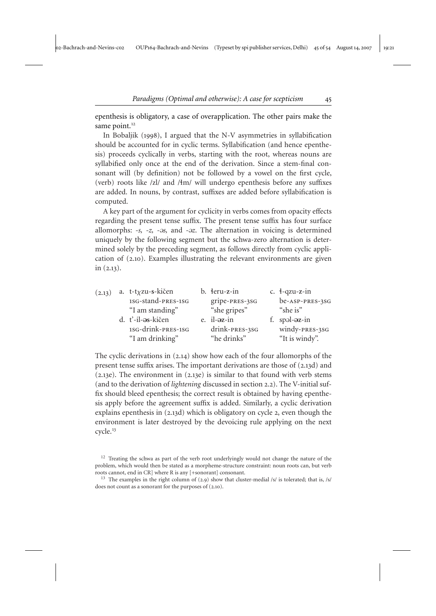#### *Paradigms (Optimal and otherwise): A case for scepticism* 45

epenthesis is obligatory, a case of overapplication. The other pairs make the same point.<sup>12</sup>

In Bobaljik (1998), I argued that the N-V asymmetries in syllabification should be accounted for in cyclic terms. Syllabification (and hence epenthesis) proceeds cyclically in verbs, starting with the root, whereas nouns are syllabified only once at the end of the derivation. Since a stem-final consonant will (by definition) not be followed by a vowel on the first cycle, (verb) roots like /zl/ and /łm/ will undergo epenthesis before any suffixes are added. In nouns, by contrast, suffixes are added before syllabification is computed.

A key part of the argument for cyclicity in verbs comes from opacity effects regarding the present tense suffix. The present tense suffix has four surface allomorphs: *-s, -z, -*@*s,* and *-*@*z*. The alternation in voicing is determined uniquely by the following segment but the schwa-zero alternation is determined solely by the preceding segment, as follows directly from cyclic application of (2.10). Examples illustrating the relevant environments are given in (2.13).

| (2.13) | a. t-tyzu-s-kičen<br>1SG-stand-PRES-1SG<br>"I am standing"          | b. teru-z-in<br>gripe-PRES-3SG<br>"she gripes" | c. $\frac{1}{4}$ -qzu-z-in<br>be-ASP-PRES-3SG<br>"she is" |
|--------|---------------------------------------------------------------------|------------------------------------------------|-----------------------------------------------------------|
|        | d. t'-il- <b>əs</b> -kičen<br>1SG-drink-PRES-1SG<br>"I am drinking" | e. il-az-in<br>drink-PRES-3SG<br>"he drinks"   | f. spal-az-in<br>windy-PRES-3SG<br>"It is windy".         |

The cyclic derivations in (2.14) show how each of the four allomorphs of the present tense suffix arises. The important derivations are those of (2.13d) and (2.13e). The environment in (2.13e) is similar to that found with verb stems (and to the derivation of *lightening* discussed in section 2.2). The V-initial suffix should bleed epenthesis; the correct result is obtained by having epenthesis apply before the agreement suffix is added. Similarly, a cyclic derivation explains epenthesis in (2.13d) which is obligatory on cycle 2, even though the environment is later destroyed by the devoicing rule applying on the next cycle.<sup>13</sup>

<sup>12</sup> Treating the schwa as part of the verb root underlyingly would not change the nature of the problem, which would then be stated as a morpheme-structure constraint: noun roots can, but verb roots cannot, end in CR] where R is any [+sonorant] consonant.

 $13$  The examples in the right column of (2.9) show that cluster-medial /s/ is tolerated; that is, /s/ does not count as a sonorant for the purposes of (2.10).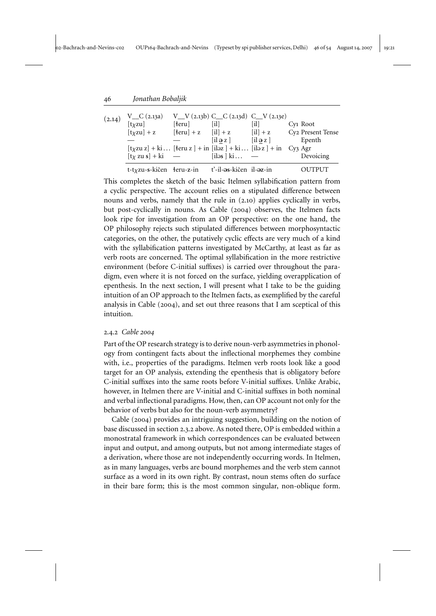| (2.14) |                                                                                          |                               | $V_{V_{V_{C}}}(2.13b)$ C <sub>(2.13</sub> d) C <sub>(2.13</sub> e) |                                       |                                         |
|--------|------------------------------------------------------------------------------------------|-------------------------------|--------------------------------------------------------------------|---------------------------------------|-----------------------------------------|
|        | $V_C$ (2.13a)<br>[t <sub>X</sub> zu]                                                     | [4eru]                        | <sup>1</sup> ill                                                   | [i]                                   | Cy <sub>1</sub> Root                    |
|        | $[tXzu] + z$                                                                             | $[\text{feru}] + z$ $[i] + z$ |                                                                    |                                       | $[i] + z$ Cy <sub>2</sub> Present Tense |
|        |                                                                                          |                               | $\begin{bmatrix} 1 & 0 \\ 0 & 0 \end{bmatrix}$                     | $[\iota \mathbf{a} \cdot \mathbf{b}]$ | Epenth                                  |
|        | $[tXzu z] + ki$ [ <sup>4</sup> eru z ] + in [iləz ] + ki [ilə z ] + in Cy3 Agr           |                               |                                                                    |                                       |                                         |
|        | $[t_X zu s] + ki$ —                                                                      |                               | $[i]$ las $k$ i —                                                  |                                       | Devoicing                               |
|        | $t$ -t $\chi$ zu-s-kičen $t$ eru-z-in $t'$ -il- $\partial s$ -kičen il- $\partial z$ -in |                               |                                                                    |                                       | OUTPUT                                  |

This completes the sketch of the basic Itelmen syllabification pattern from a cyclic perspective. The account relies on a stipulated difference between nouns and verbs, namely that the rule in (2.10) applies cyclically in verbs, but post-cyclically in nouns. As Cable (2004) observes, the Itelmen facts look ripe for investigation from an OP perspective: on the one hand, the OP philosophy rejects such stipulated differences between morphosyntactic categories, on the other, the putatively cyclic effects are very much of a kind with the syllabification patterns investigated by McCarthy, at least as far as verb roots are concerned. The optimal syllabification in the more restrictive environment (before C-initial suffixes) is carried over throughout the paradigm, even where it is not forced on the surface, yielding overapplication of epenthesis. In the next section, I will present what I take to be the guiding intuition of an OP approach to the Itelmen facts, as exemplified by the careful analysis in Cable (2004), and set out three reasons that I am sceptical of this intuition.

#### 2.4.2 *Cable 2004*

Part of the OP research strategy is to derive noun-verb asymmetries in phonology from contingent facts about the inflectional morphemes they combine with, i.e., properties of the paradigms. Itelmen verb roots look like a good target for an OP analysis, extending the epenthesis that is obligatory before C-initial suffixes into the same roots before V-initial suffixes. Unlike Arabic, however, in Itelmen there are V-initial and C-initial suffixes in both nominal and verbal inflectional paradigms. How, then, can OP account not only for the behavior of verbs but also for the noun-verb asymmetry?

Cable (2004) provides an intriguing suggestion, building on the notion of base discussed in section 2.3.2 above. As noted there, OP is embedded within a monostratal framework in which correspondences can be evaluated between input and output, and among outputs, but not among intermediate stages of a derivation, where those are not independently occurring words. In Itelmen, as in many languages, verbs are bound morphemes and the verb stem cannot surface as a word in its own right. By contrast, noun stems often do surface in their bare form; this is the most common singular, non-oblique form.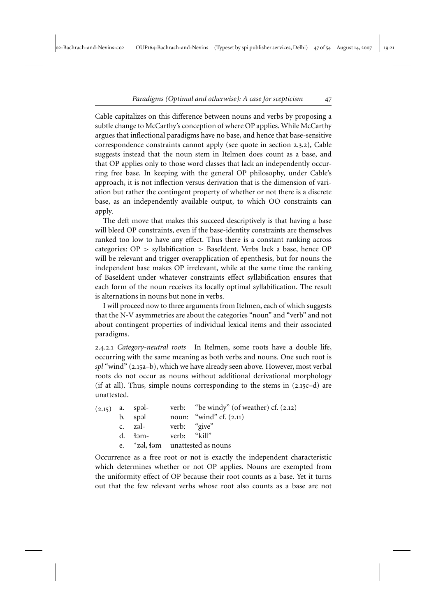Cable capitalizes on this difference between nouns and verbs by proposing a subtle change to McCarthy's conception of where OP applies. While McCarthy argues that inflectional paradigms have no base, and hence that base-sensitive correspondence constraints cannot apply (see quote in section 2.3.2), Cable suggests instead that the noun stem in Itelmen does count as a base, and that OP applies only to those word classes that lack an independently occurring free base. In keeping with the general OP philosophy, under Cable's approach, it is not inflection versus derivation that is the dimension of variation but rather the contingent property of whether or not there is a discrete base, as an independently available output, to which OO constraints can apply.

The deft move that makes this succeed descriptively is that having a base will bleed OP constraints, even if the base-identity constraints are themselves ranked too low to have any effect. Thus there is a constant ranking across categories: OP > syllabification > BaseIdent. Verbs lack a base, hence OP will be relevant and trigger overapplication of epenthesis, but for nouns the independent base makes OP irrelevant, while at the same time the ranking of BaseIdent under whatever constraints effect syllabification ensures that each form of the noun receives its locally optimal syllabification. The result is alternations in nouns but none in verbs.

I will proceed now to three arguments from Itelmen, each of which suggests that the N-V asymmetries are about the categories "noun" and "verb" and not about contingent properties of individual lexical items and their associated paradigms.

2.4.2.1 *Category-neutral roots* In Itelmen, some roots have a double life, occurring with the same meaning as both verbs and nouns. One such root is *spl* "wind" (2.15a–b), which we have already seen above. However, most verbal roots do not occur as nouns without additional derivational morphology (if at all). Thus, simple nouns corresponding to the stems in  $(2.15c-d)$  are unattested.

|  | $(2.15)$ a. spal-                 |              | verb: "be windy" (of weather) cf. $(2.12)$ |
|--|-----------------------------------|--------------|--------------------------------------------|
|  | b. spal                           |              | noun: "wind" cf. $(2.11)$                  |
|  | c. zəl-                           | verb: "give" |                                            |
|  | d. I <sub>2</sub> m- verb: "kill" |              |                                            |
|  |                                   |              | e. *zal, fam unattested as nouns           |

Occurrence as a free root or not is exactly the independent characteristic which determines whether or not OP applies. Nouns are exempted from the uniformity effect of OP because their root counts as a base. Yet it turns out that the few relevant verbs whose root also counts as a base are not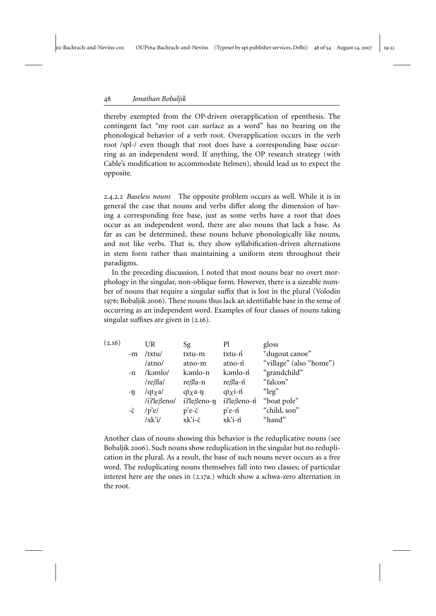thereby exempted from the OP-driven overapplication of epenthesis. The contingent fact "my root can surface as a word" has no bearing on the phonological behavior of a verb root. Overapplication occurs in the verb root /spl-/ even though that root does have a corresponding base occurring as an independent word. If anything, the OP research strategy (with Cable's modification to accommodate Itelmen), should lead us to expect the opposite.

2.4.2.2 *Baseless nouns* The opposite problem occurs as well. While it is in general the case that nouns and verbs differ along the dimension of having a corresponding free base, just as some verbs have a root that does occur as an independent word, there are also nouns that lack a base. As far as can be determined, these nouns behave phonologically like nouns, and not like verbs. That is, they show syllabification-driven alternations in stem form rather than maintaining a uniform stem throughout their paradigms.

In the preceding discussion, I noted that most nouns bear no overt morphology in the singular, non-oblique form. However, there is a sizeable number of nouns that require a singular suffix that is lost in the plural (Volodin 1976; Bobaljik 2006). These nouns thus lack an identifiable base in the sense of occurring as an independent word. Examples of four classes of nouns taking singular suffixes are given in (2.16).

|      | UR                 | Sg                          | Pl               | gloss                   |
|------|--------------------|-----------------------------|------------------|-------------------------|
| $-m$ | /txtu/             | txtu-m                      | txtu-n           | "dugout canoe"          |
|      | /atno/             | atno-m                      | atno-n           | "village" (also "home") |
| $-n$ | /kəmlo/            | kəmlo-n                     | kəmlo-n          | "grandchild"            |
|      | /re $\beta$ la/    | $re\betala-n$               | reβla-n          | "falcon"                |
| $-n$ | /qt $x$ a/         | $q$ t $\chi$ a-n            | $qty$ i-n        | " $leg"$                |
|      | /i?le $\beta$ eno/ | $i$ ?le $\beta$ eno- $\eta$ | i?leβeno-n'      | "boat pole"             |
| -č   | $/p'$ e/           | $p'$ e-č                    | $p^{\prime}$ e-n | "child, son"            |
|      | xk'i'              | xk'i-č                      | xk'i-n           | "hand"                  |
|      |                    |                             |                  |                         |

Another class of nouns showing this behavior is the reduplicative nouns (see Bobaljik 2006). Such nouns show reduplication in the singular but no reduplication in the plural. As a result, the base of such nouns never occurs as a free word. The reduplicating nouns themselves fall into two classes; of particular interest here are the ones in (2.17a.) which show a schwa-zero alternation in the root.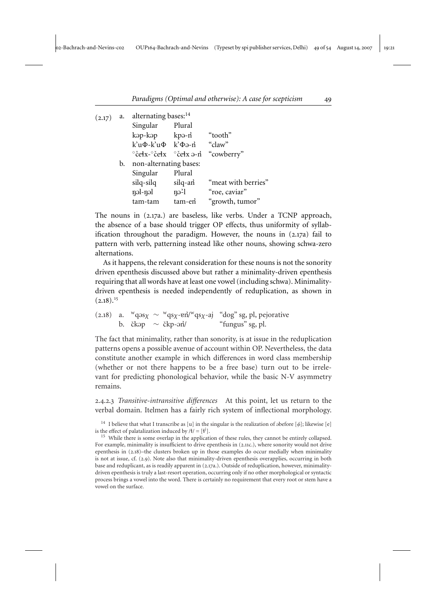| (2.17) |    | a. alternating bases: $^{14}$            |                       |                                                                                                            |
|--------|----|------------------------------------------|-----------------------|------------------------------------------------------------------------------------------------------------|
|        |    | Singular                                 | Plural                |                                                                                                            |
|        |    | kəp-kəp kpə-n                            |                       | "tooth"                                                                                                    |
|        |    | $k'u\Phi - k'u\Phi$ $k'\Phi - n'$ "claw" |                       |                                                                                                            |
|        |    |                                          |                       | $\degree$ če $\angle$ k $\degree$ če $\angle$ k $\degree$ če $\angle$ k $\degree$ a-n $\degree$ (cowberry) |
|        | b. | non-alternating bases:                   |                       |                                                                                                            |
|        |    | Singular                                 | Plural                |                                                                                                            |
|        |    | silq-silq                                | silq-an               | "meat with berries"                                                                                        |
|        |    | $\eta$ əl- $\eta$ əl                     | $\eta$ <sup>2</sup> l | "roe, caviar"                                                                                              |
|        |    | tam-tam                                  | tam-en                | "growth, tumor"                                                                                            |

The nouns in (2.17a.) are baseless, like verbs. Under a TCNP approach, the absence of a base should trigger OP effects, thus uniformity of syllabification throughout the paradigm. However, the nouns in (2.17a) fail to pattern with verb, patterning instead like other nouns, showing schwa-zero alternations.

As it happens, the relevant consideration for these nouns is not the sonority driven epenthesis discussed above but rather a minimality-driven epenthesis requiring that all words have at least one vowel (including schwa). Minimalitydriven epenthesis is needed independently of reduplication, as shown in  $(2.18).^{15}$ 

(2.18) a.  $w \text{ qəs}\chi \sim w \text{ qs}\chi$ -en $w \text{ qs}\chi$ -aj "dog" sg, pl, pejorative b. čkəp ∼ čkp-ən'/ "fungus" sg, pl.

The fact that minimality, rather than sonority, is at issue in the reduplication patterns opens a possible avenue of account within OP. Nevertheless, the data constitute another example in which differences in word class membership (whether or not there happens to be a free base) turn out to be irrelevant for predicting phonological behavior, while the basic N-V asymmetry remains.

2.4.2.3 *Transitive-intransitive differences* At this point, let us return to the verbal domain. Itelmen has a fairly rich system of inflectional morphology.

<sup>&</sup>lt;sup>14</sup> I believe that what I transcribe as [u] in the singular is the realization of  $\phi$  = before [ $\phi$ ]; likewise [e] is the effect of palatalization induced by  $/4$ / = [ $\ddot{\psi}$ ].

<sup>&</sup>lt;sup>15</sup> While there is some overlap in the application of these rules, they cannot be entirely collapsed. For example, minimality is insufficient to drive epenthesis in (2.11c.), where sonority would not drive epenthesis in (2.18)–the clusters broken up in those examples do occur medially when minimality is not at issue, cf. (2.9). Note also that minimality-driven epenthesis overapplies, occurring in both base and reduplicant, as is readily apparent in (2.17a.). Outside of reduplication, however, minimalitydriven epenthesis is truly a last-resort operation, occurring only if no other morphological or syntactic process brings a vowel into the word. There is certainly no requirement that every root or stem have a vowel on the surface.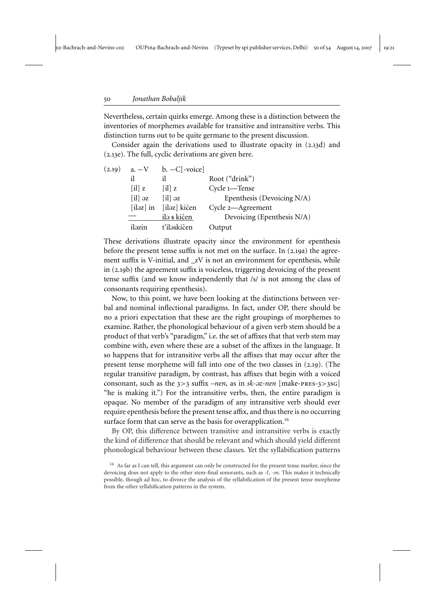Nevertheless, certain quirks emerge. Among these is a distinction between the inventories of morphemes available for transitive and intransitive verbs. This distinction turns out to be quite germane to the present discussion.

Consider again the derivations used to illustrate opacity in (2.13d) and (2.13e). The full, cyclic derivations are given here.

| (2.19) |                                     | $a. -V$ b. $-C$ [-voice]           |                            |
|--------|-------------------------------------|------------------------------------|----------------------------|
|        | il                                  | il                                 | Root ("drink")             |
|        | $\left  \text{i} \right  \right $ z | $\left  \text{i} \right $ z        | Cycle 1-Tense              |
|        | $\lceil \text{id} \rceil$ az        | $\lceil \text{i} \rceil \rceil$ az | Epenthesis (Devoicing N/A) |
|        | $[i]$ az $]$ in                     | [iləz] kičen                       | Cycle 2-Agreement          |
|        |                                     | ilə s kičen                        | Devoicing (Epenthesis N/A) |
|        | iləzin                              | ťilaskičen                         | Output                     |

These derivations illustrate opacity since the environment for epenthesis before the present tense suffix is not met on the surface. In (2.19a) the agreement suffix is V-initial, and \_zV is not an environment for epenthesis, while in (2.19b) the agreement suffix is voiceless, triggering devoicing of the present tense suffix (and we know independently that /s/ is not among the class of consonants requiring epenthesis).

Now, to this point, we have been looking at the distinctions between verbal and nominal inflectional paradigms. In fact, under OP, there should be no a priori expectation that these are the right groupings of morphemes to examine. Rather, the phonological behaviour of a given verb stem should be a product of that verb's "paradigm," i.e. the set of affixes that that verb stem may combine with, even where these are a subset of the affixes in the language. It so happens that for intransitive verbs all the affixes that may occur after the present tense morpheme will fall into one of the two classes in (2.19). (The regular transitive paradigm, by contrast, has affixes that begin with a voiced consonant, such as the 3>3 suffix *–nen*, as in *sk-*@*z-nen* [make-pres-3>3sg] "he is making it.") For the intransitive verbs, then, the entire paradigm is opaque. No member of the paradigm of any intransitive verb should ever require epenthesis before the present tense affix, and thus there is no occurring surface form that can serve as the basis for overapplication.<sup>16</sup>

By OP, this difference between transitive and intransitive verbs is exactly the kind of difference that should be relevant and which should yield different phonological behaviour between these classes. Yet the syllabification patterns

<sup>&</sup>lt;sup>16</sup> As far as I can tell, this argument can only be constructed for the present tense marker, since the devoicing does not apply to the other stem-final sonorants, such as -*l*, -*m*. This makes it technically possible, though ad hoc, to divorce the analysis of the syllabification of the present tense morpheme from the other syllabification patterns in the system.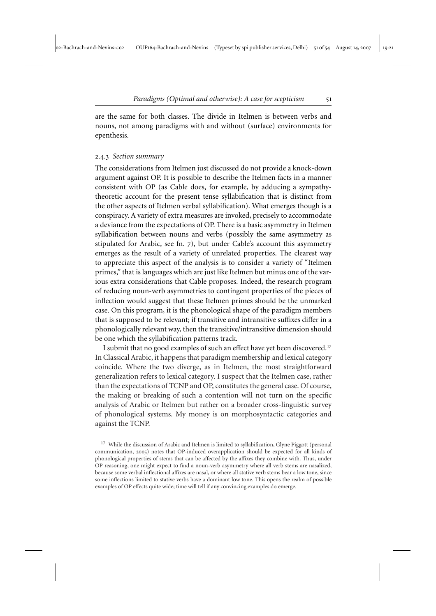are the same for both classes. The divide in Itelmen is between verbs and nouns, not among paradigms with and without (surface) environments for epenthesis.

### 2.4.3 *Section summary*

The considerations from Itelmen just discussed do not provide a knock-down argument against OP. It is possible to describe the Itelmen facts in a manner consistent with OP (as Cable does, for example, by adducing a sympathytheoretic account for the present tense syllabification that is distinct from the other aspects of Itelmen verbal syllabification). What emerges though is a conspiracy. A variety of extra measures are invoked, precisely to accommodate a deviance from the expectations of OP. There is a basic asymmetry in Itelmen syllabification between nouns and verbs (possibly the same asymmetry as stipulated for Arabic, see fn. 7), but under Cable's account this asymmetry emerges as the result of a variety of unrelated properties. The clearest way to appreciate this aspect of the analysis is to consider a variety of "Itelmen primes," that is languages which are just like Itelmen but minus one of the various extra considerations that Cable proposes. Indeed, the research program of reducing noun-verb asymmetries to contingent properties of the pieces of inflection would suggest that these Itelmen primes should be the unmarked case. On this program, it is the phonological shape of the paradigm members that is supposed to be relevant; if transitive and intransitive suffixes differ in a phonologically relevant way, then the transitive/intransitive dimension should be one which the syllabification patterns track.

I submit that no good examples of such an effect have yet been discovered.<sup>17</sup> In Classical Arabic, it happens that paradigm membership and lexical category coincide. Where the two diverge, as in Itelmen, the most straightforward generalization refers to lexical category. I suspect that the Itelmen case, rather than the expectations of TCNP and OP, constitutes the general case. Of course, the making or breaking of such a contention will not turn on the specific analysis of Arabic or Itelmen but rather on a broader cross-linguistic survey of phonological systems. My money is on morphosyntactic categories and against the TCNP.

<sup>&</sup>lt;sup>17</sup> While the discussion of Arabic and Itelmen is limited to syllabification, Glyne Piggott (personal communication, 2005) notes that OP-induced overapplication should be expected for all kinds of phonological properties of stems that can be affected by the affixes they combine with. Thus, under OP reasoning, one might expect to find a noun-verb asymmetry where all verb stems are nasalized, because some verbal inflectional affixes are nasal, or where all stative verb stems bear a low tone, since some inflections limited to stative verbs have a dominant low tone. This opens the realm of possible examples of OP effects quite wide; time will tell if any convincing examples do emerge.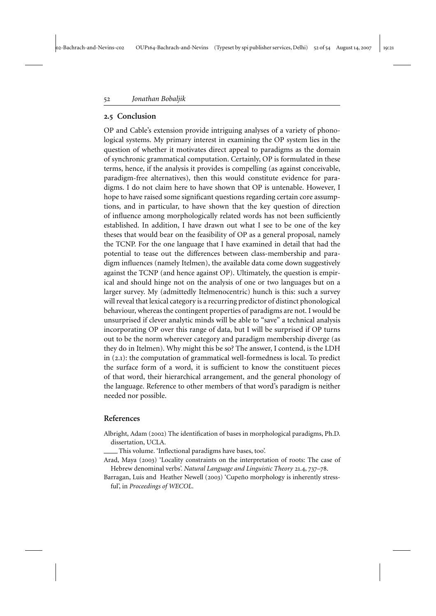#### **2.5 Conclusion**

OP and Cable's extension provide intriguing analyses of a variety of phonological systems. My primary interest in examining the OP system lies in the question of whether it motivates direct appeal to paradigms as the domain of synchronic grammatical computation. Certainly, OP is formulated in these terms, hence, if the analysis it provides is compelling (as against conceivable, paradigm-free alternatives), then this would constitute evidence for paradigms. I do not claim here to have shown that OP is untenable. However, I hope to have raised some significant questions regarding certain core assumptions, and in particular, to have shown that the key question of direction of influence among morphologically related words has not been sufficiently established. In addition, I have drawn out what I see to be one of the key theses that would bear on the feasibility of OP as a general proposal, namely the TCNP. For the one language that I have examined in detail that had the potential to tease out the differences between class-membership and paradigm influences (namely Itelmen), the available data come down suggestively against the TCNP (and hence against OP). Ultimately, the question is empirical and should hinge not on the analysis of one or two languages but on a larger survey. My (admittedly Itelmenocentric) hunch is this: such a survey will reveal that lexical category is a recurring predictor of distinct phonological behaviour, whereas the contingent properties of paradigms are not. I would be unsurprised if clever analytic minds will be able to "save" a technical analysis incorporating OP over this range of data, but I will be surprised if OP turns out to be the norm wherever category and paradigm membership diverge (as they do in Itelmen). Why might this be so? The answer, I contend, is the LDH in (2.1): the computation of grammatical well-formedness is local. To predict the surface form of a word, it is sufficient to know the constituent pieces of that word, their hierarchical arrangement, and the general phonology of the language. Reference to other members of that word's paradigm is neither needed nor possible.

#### **References**

- Albright, Adam (2002) The identification of bases in morphological paradigms, Ph.D. dissertation, UCLA.
- This volume. 'Inflectional paradigms have bases, too'.
- Arad, Maya (2003) 'Locality constraints on the interpretation of roots: The case of Hebrew denominal verbs'. *Natural Language and Linguistic Theory* 21.4, 737–78.
- Barragan, Luis and Heather Newell (2003) 'Cupeño morphology is inherently stressful', in *Proceedings of WECOL*.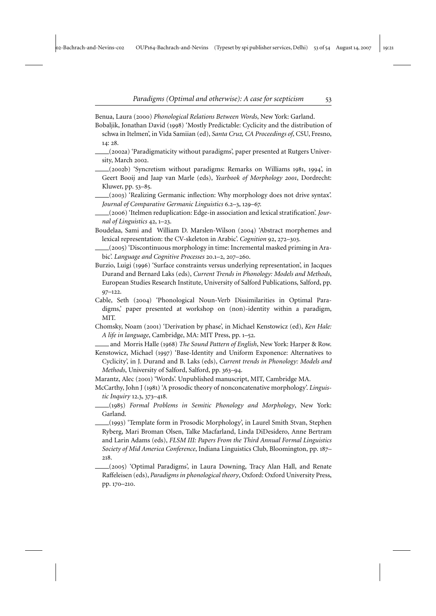Benua, Laura (2000) *Phonological Relations Between Words*, New York: Garland.

- Bobaljik, Jonathan David (1998) 'Mostly Predictable: Cyclicity and the distribution of schwa in Itelmen', in Vida Samiian (ed), *Santa Cruz, CA Proceedings of*, CSU, Fresno, 14: 28.
- (2002a) 'Paradigmaticity without paradigms', paper presented at Rutgers University, March 2002.
- (2002b) 'Syncretism without paradigms: Remarks on Williams 1981, 1994', in Geert Booij and Jaap van Marle (eds), *Yearbook of Morphology 2001*, Dordrecht: Kluwer, pp. 53–85.
- (2003) 'Realizing Germanic inflection: Why morphology does not drive syntax'. *Journal of Comparative Germanic Linguistics* 6.2–3, 129–67.
- (2006) 'Itelmen reduplication: Edge-in association and lexical stratification'. *Journal of Linguistics* 42, 1–23.
- Boudelaa, Sami and William D. Marslen-Wilson (2004) 'Abstract morphemes and lexical representation: the CV-skeleton in Arabic'. *Cognition* 92, 272–303.
- (2005) 'Discontinuous morphology in time: Incremental masked priming in Arabic'. *Language and Cognitive Processes* 20.1–2, 207–260.
- Burzio, Luigi (1996) 'Surface constraints versus underlying representation', in Jacques Durand and Bernard Laks (eds), *Current Trends in Phonology: Models and Methods*, European Studies Research Institute, University of Salford Publications, Salford, pp.  $07 - 122$ .
- Cable, Seth (2004) 'Phonological Noun-Verb Dissimilarities in Optimal Paradigms,' paper presented at workshop on (non)-identity within a paradigm, MIT.
- Chomsky, Noam (2001) 'Derivation by phase', in Michael Kenstowicz (ed), *Ken Hale: A life in language*, Cambridge, MA: MIT Press, pp. 1–52.

and Morris Halle (1968) *The Sound Pattern of English*, New York: Harper & Row. Kenstowicz, Michael (1997) 'Base-Identity and Uniform Exponence: Alternatives to

Cyclicity', in J. Durand and B. Laks (eds), *Current trends in Phonology: Models and Methods*, University of Salford, Salford, pp. 363–94.

Marantz, Alec (2001) 'Words'. Unpublished manuscript, MIT, Cambridge MA.

McCarthy, John J (1981) 'A prosodic theory of nonconcatenative morphology'. *Linguistic Inquiry* 12.3, 373–418.

(1985) *Formal Problems in Semitic Phonology and Morphology*, New York: Garland.

- (1993) 'Template form in Prosodic Morphology', in Laurel Smith Stvan, Stephen Ryberg, Mari Broman Olsen, Talke Macfarland, Linda DiDesidero, Anne Bertram and Larin Adams (eds), *FLSM III: Papers From the Third Annual Formal Linguistics Society of Mid America Conference*, Indiana Linguistics Club, Bloomington, pp. 187– 218.
- (2005) 'Optimal Paradigms', in Laura Downing, Tracy Alan Hall, and Renate Raffeleisen (eds), *Paradigms in phonological theory*, Oxford: Oxford University Press, pp. 170–210.